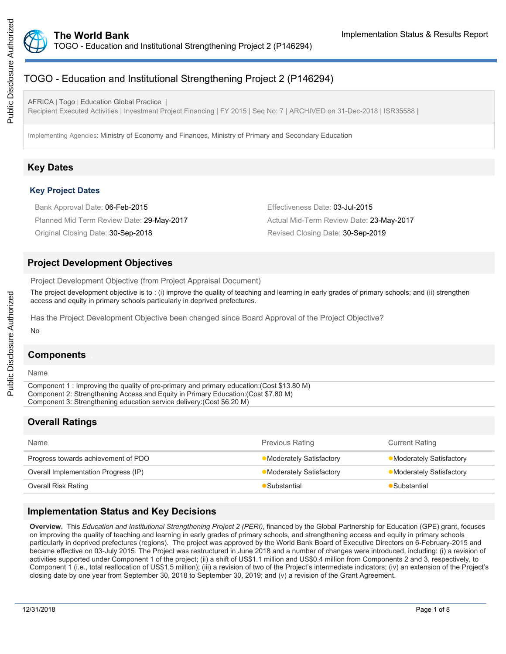

# TOGO - Education and Institutional Strengthening Project 2 (P146294)

AFRICA | Togo | Education Global Practice | Recipient Executed Activities | Investment Project Financing | FY 2015 | Seq No: 7 | ARCHIVED on 31-Dec-2018 | ISR35588 |

Implementing Agencies: Ministry of Economy and Finances, Ministry of Primary and Secondary Education

# **Key Dates**

#### **Key Project Dates**

| Bank Approval Date: 06-Feb-2015           | Effectiveness Date: 03-Jul-2015          |
|-------------------------------------------|------------------------------------------|
| Planned Mid Term Review Date: 29-May-2017 | Actual Mid-Term Review Date: 23-May-2017 |
| Original Closing Date: 30-Sep-2018        | Revised Closing Date: 30-Sep-2019        |

## **Project Development Objectives**

Project Development Objective (from Project Appraisal Document)

The project development objective is to : (i) improve the quality of teaching and learning in early grades of primary schools; and (ii) strengthen access and equity in primary schools particularly in deprived prefectures.

Has the Project Development Objective been changed since Board Approval of the Project Objective?

#### No

## **Components**

#### Name

Component 1 : Improving the quality of pre-primary and primary education:(Cost \$13.80 M) Component 2: Strengthening Access and Equity in Primary Education:(Cost \$7.80 M) Component 3: Strengthening education service delivery:(Cost \$6.20 M)

# **Overall Ratings**

| Name                                 | <b>Previous Rating</b>   | <b>Current Rating</b>          |
|--------------------------------------|--------------------------|--------------------------------|
| Progress towards achievement of PDO  | •Moderately Satisfactory | • Moderately Satisfactory      |
| Overall Implementation Progress (IP) | •Moderately Satisfactory | <b>Moderately Satisfactory</b> |
| Overall Risk Rating                  | Substantial              | Substantial                    |
|                                      |                          |                                |

## **Implementation Status and Key Decisions**

**Overview.** This *Education and Institutional Strengthening Project 2 (PERI)*, financed by the Global Partnership for Education (GPE) grant, focuses on improving the quality of teaching and learning in early grades of primary schools, and strengthening access and equity in primary schools particularly in deprived prefectures (regions). The project was approved by the World Bank Board of Executive Directors on 6-February-2015 and became effective on 03-July 2015. The Project was restructured in June 2018 and a number of changes were introduced, including: (i) a revision of activities supported under Component 1 of the project; (ii) a shift of US\$1.1 million and US\$0.4 million from Components 2 and 3, respectively, to Component 1 (i.e., total reallocation of US\$1.5 million); (iii) a revision of two of the Project's intermediate indicators; (iv) an extension of the Project's closing date by one year from September 30, 2018 to September 30, 2019; and (v) a revision of the Grant Agreement.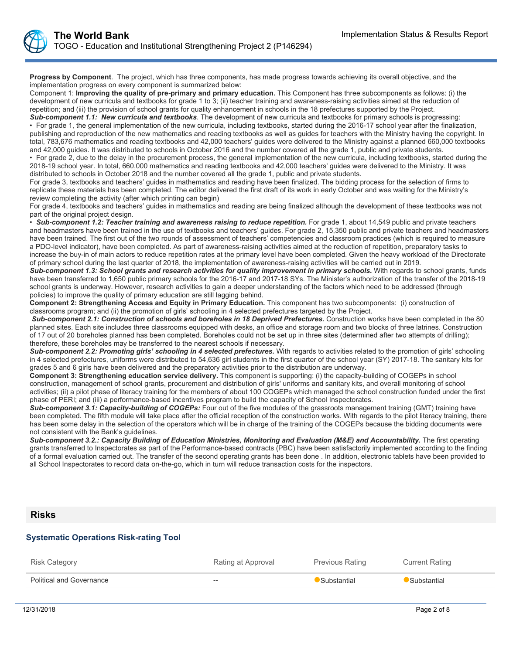**Progress by Component**. The project, which has three components, has made progress towards achieving its overall objective, and the implementation progress on every component is summarized below:

Component 1: **Improving the quality of pre-primary and primary education.** This Component has three subcomponents as follows: (i) the development of new curricula and textbooks for grade 1 to 3; (ii) teacher training and awareness-raising activities aimed at the reduction of repetition; and (iii) the provision of school grants for quality enhancement in schools in the 18 prefectures supported by the Project.

*Sub-component 1.1: New curricula and textbooks*. The development of new curricula and textbooks for primary schools is progressing: • For grade 1, the general implementation of the new curricula, including textbooks, started during the 2016-17 school year after the finalization, publishing and reproduction of the new mathematics and reading textbooks as well as guides for teachers with the Ministry having the copyright. In total, 783,676 mathematics and reading textbooks and 42,000 teachers' guides were delivered to the Ministry against a planned 660,000 textbooks and 42,000 guides. It was distributed to schools in October 2016 and the number covered all the grade 1, public and private students.

• For grade 2, due to the delay in the procurement process, the general implementation of the new curricula, including textbooks, started during the 2018-19 school year. In total, 660,000 mathematics and reading textbooks and 42,000 teachers' guides were delivered to the Ministry. It was distributed to schools in October 2018 and the number covered all the grade 1, public and private students.

For grade 3, textbooks and teachers' guides in mathematics and reading have been finalized. The bidding process for the selection of firms to replicate these materials has been completed. The editor delivered the first draft of its work in early October and was waiting for the Ministry's review completing the activity (after which printing can begin)

For grade 4, textbooks and teachers' guides in mathematics and reading are being finalized although the development of these textbooks was not part of the original project design.

Sub-component 1.2: Teacher training and awareness raising to reduce repetition. For grade 1, about 14,549 public and private teachers and headmasters have been trained in the use of textbooks and teachers' guides. For grade 2, 15,350 public and private teachers and headmasters have been trained. The first out of the two rounds of assessment of teachers' competencies and classroom practices (which is required to measure a PDO-level indicator), have been completed. As part of awareness-raising activities aimed at the reduction of repetition, preparatory tasks to increase the buy-in of main actors to reduce repetition rates at the primary level have been completed. Given the heavy workload of the Directorate of primary school during the last quarter of 2018, the implementation of awareness-raising activities will be carried out in 2019.

*Sub-component 1.3: School grants and research activities for quality improvement in primary schools.* With regards to school grants, funds have been transferred to 1,650 public primary schools for the 2016-17 and 2017-18 SYs. The Minister's authorization of the transfer of the 2018-19 school grants is underway. However, research activities to gain a deeper understanding of the factors which need to be addressed (through policies) to improve the quality of primary education are still lagging behind.

**Component 2: Strengthening Access and Equity in Primary Education.** This component has two subcomponents: (i) construction of classrooms program; and (ii) the promotion of girls' schooling in 4 selected prefectures targeted by the Project.

Sub-component 2.1: Construction of schools and boreholes in 18 Deprived Prefectures. Construction works have been completed in the 80 planned sites. Each site includes three classrooms equipped with desks, an office and storage room and two blocks of three latrines. Construction of 17 out of 20 boreholes planned has been completed. Boreholes could not be set up in three sites (determined after two attempts of drilling); therefore, these boreholes may be transferred to the nearest schools if necessary.

Sub-component 2.2: Promoting girls' schooling in 4 selected prefectures. With regards to activities related to the promotion of girls' schooling in 4 selected prefectures, uniforms were distributed to 54,636 girl students in the first quarter of the school year (SY) 2017-18. The sanitary kits for grades 5 and 6 girls have been delivered and the preparatory activities prior to the distribution are underway.

**Component 3: Strengthening education service delivery.** This component is supporting: (i) the capacity-building of COGEPs in school construction, management of school grants, procurement and distribution of girls' uniforms and sanitary kits, and overall monitoring of school activities; (ii) a pilot phase of literacy training for the members of about 100 COGEPs which managed the school construction funded under the first phase of PERI; and (iii) a performance-based incentives program to build the capacity of School Inspectorates.

Sub-component 3.1: Capacity-building of COGEPs: Four out of the five modules of the grassroots management training (GMT) training have been completed. The fifth module will take place after the official reception of the construction works. With regards to the pilot literacy training, there has been some delay in the selection of the operators which will be in charge of the training of the COGEPs because the bidding documents were not consistent with the Bank's guidelines.

*Sub-component 3.2.: Capacity Building of Education Ministries, Monitoring and Evaluation (M&E) and Accountability.* The first operating grants transferred to Inspectorates as part of the Performance-based contracts (PBC) have been satisfactorily implemented according to the finding of a formal evaluation carried out. The transfer of the second operating grants has been done . In addition, electronic tablets have been provided to all School Inspectorates to record data on-the-go, which in turn will reduce transaction costs for the inspectors.

### **Risks**

#### **Systematic Operations Risk-rating Tool**

| Risk Category                   | Rating at Approval       | <b>Previous Rating</b> | <b>Current Rating</b> |
|---------------------------------|--------------------------|------------------------|-----------------------|
| <b>Political and Governance</b> | $\hspace{0.05cm} \dashv$ | Substantial            | Substantial           |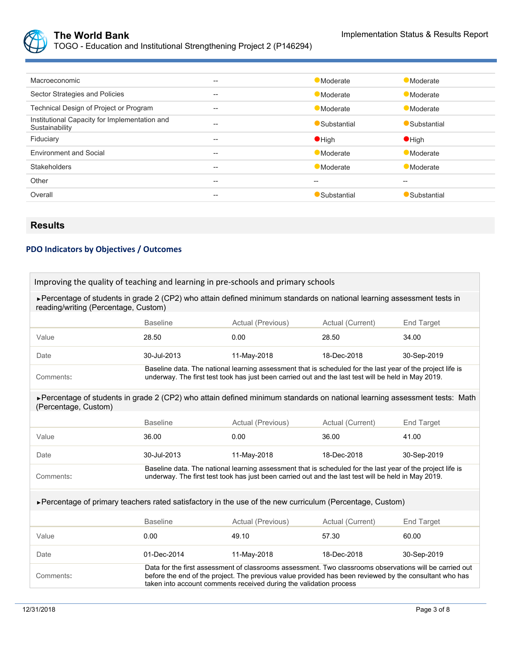

TOGO - Education and Institutional Strengthening Project 2 (P146294)

| <b>Macroeconomic</b>                                            | --    | <b>Moderate</b> | <b>Moderate</b> |
|-----------------------------------------------------------------|-------|-----------------|-----------------|
| Sector Strategies and Policies                                  | $- -$ | <b>Moderate</b> | Moderate        |
| Technical Design of Project or Program                          | --    | Moderate        | Moderate        |
| Institutional Capacity for Implementation and<br>Sustainability | --    | Substantial     | Substantial     |
| Fiduciary                                                       | --    | $\bullet$ High  | $\bullet$ High  |
| <b>Environment and Social</b>                                   | --    | <b>Moderate</b> | <b>Moderate</b> |
| <b>Stakeholders</b>                                             | --    | Moderate        | Moderate        |
| Other                                                           | --    | --              | --              |
| Overall                                                         | --    | Substantial     | Substantial     |

# **Results**

# **PDO Indicators by Objectives / Outcomes**

| Improving the quality of teaching and learning in pre-schools and primary schools                                                                               |                                                                                                                                                                                                                                                                                         |                                                                                                                                                                                                                   |                  |                   |  |  |
|-----------------------------------------------------------------------------------------------------------------------------------------------------------------|-----------------------------------------------------------------------------------------------------------------------------------------------------------------------------------------------------------------------------------------------------------------------------------------|-------------------------------------------------------------------------------------------------------------------------------------------------------------------------------------------------------------------|------------------|-------------------|--|--|
| ► Percentage of students in grade 2 (CP2) who attain defined minimum standards on national learning assessment tests in<br>reading/writing (Percentage, Custom) |                                                                                                                                                                                                                                                                                         |                                                                                                                                                                                                                   |                  |                   |  |  |
|                                                                                                                                                                 | <b>Baseline</b>                                                                                                                                                                                                                                                                         | Actual (Previous)                                                                                                                                                                                                 | Actual (Current) | <b>End Target</b> |  |  |
| Value                                                                                                                                                           | 28.50                                                                                                                                                                                                                                                                                   | 0.00                                                                                                                                                                                                              | 28.50            | 34.00             |  |  |
| Date                                                                                                                                                            | 30-Jul-2013                                                                                                                                                                                                                                                                             | 11-May-2018                                                                                                                                                                                                       | 18-Dec-2018      | 30-Sep-2019       |  |  |
| Comments:                                                                                                                                                       |                                                                                                                                                                                                                                                                                         | Baseline data. The national learning assessment that is scheduled for the last year of the project life is<br>underway. The first test took has just been carried out and the last test will be held in May 2019. |                  |                   |  |  |
| ► Percentage of students in grade 2 (CP2) who attain defined minimum standards on national learning assessment tests: Math<br>(Percentage, Custom)              |                                                                                                                                                                                                                                                                                         |                                                                                                                                                                                                                   |                  |                   |  |  |
|                                                                                                                                                                 | <b>Baseline</b>                                                                                                                                                                                                                                                                         | Actual (Previous)                                                                                                                                                                                                 | Actual (Current) | <b>End Target</b> |  |  |
| Value                                                                                                                                                           | 36.00                                                                                                                                                                                                                                                                                   | 0.00                                                                                                                                                                                                              | 36.00            | 41.00             |  |  |
| Date                                                                                                                                                            | 30-Jul-2013                                                                                                                                                                                                                                                                             | 11-May-2018                                                                                                                                                                                                       | 18-Dec-2018      | 30-Sep-2019       |  |  |
| Comments:                                                                                                                                                       |                                                                                                                                                                                                                                                                                         | Baseline data. The national learning assessment that is scheduled for the last year of the project life is<br>underway. The first test took has just been carried out and the last test will be held in May 2019. |                  |                   |  |  |
| ► Percentage of primary teachers rated satisfactory in the use of the new curriculum (Percentage, Custom)                                                       |                                                                                                                                                                                                                                                                                         |                                                                                                                                                                                                                   |                  |                   |  |  |
|                                                                                                                                                                 | <b>Baseline</b>                                                                                                                                                                                                                                                                         | Actual (Previous)                                                                                                                                                                                                 | Actual (Current) | End Target        |  |  |
| Value                                                                                                                                                           | 0.00                                                                                                                                                                                                                                                                                    | 49.10                                                                                                                                                                                                             | 57.30            | 60.00             |  |  |
| Date                                                                                                                                                            | 01-Dec-2014                                                                                                                                                                                                                                                                             | 11-May-2018                                                                                                                                                                                                       | 18-Dec-2018      | 30-Sep-2019       |  |  |
| Comments:                                                                                                                                                       | Data for the first assessment of classrooms assessment. Two classrooms observations will be carried out<br>before the end of the project. The previous value provided has been reviewed by the consultant who has<br>taken into account comments received during the validation process |                                                                                                                                                                                                                   |                  |                   |  |  |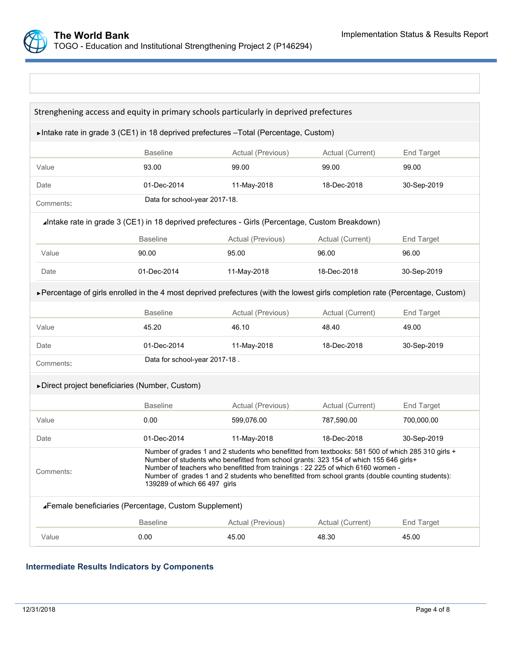

| Strenghening access and equity in primary schools particularly in deprived prefectures                                                                                                                                                                                                                                                                                                                                        |                               |                   |                  |                   |  |  |
|-------------------------------------------------------------------------------------------------------------------------------------------------------------------------------------------------------------------------------------------------------------------------------------------------------------------------------------------------------------------------------------------------------------------------------|-------------------------------|-------------------|------------------|-------------------|--|--|
| ► Intake rate in grade 3 (CE1) in 18 deprived prefectures - Total (Percentage, Custom)                                                                                                                                                                                                                                                                                                                                        |                               |                   |                  |                   |  |  |
|                                                                                                                                                                                                                                                                                                                                                                                                                               | <b>Baseline</b>               | Actual (Previous) | Actual (Current) | <b>End Target</b> |  |  |
| Value                                                                                                                                                                                                                                                                                                                                                                                                                         | 93.00                         | 99.00             | 99.00            | 99.00             |  |  |
| Date                                                                                                                                                                                                                                                                                                                                                                                                                          | 01-Dec-2014                   | 11-May-2018       | 18-Dec-2018      | 30-Sep-2019       |  |  |
| Comments:                                                                                                                                                                                                                                                                                                                                                                                                                     | Data for school-year 2017-18. |                   |                  |                   |  |  |
| Intake rate in grade 3 (CE1) in 18 deprived prefectures - Girls (Percentage, Custom Breakdown)                                                                                                                                                                                                                                                                                                                                |                               |                   |                  |                   |  |  |
|                                                                                                                                                                                                                                                                                                                                                                                                                               | <b>Baseline</b>               | Actual (Previous) | Actual (Current) | End Target        |  |  |
| Value                                                                                                                                                                                                                                                                                                                                                                                                                         | 90.00                         | 95.00             | 96.00            | 96.00             |  |  |
| Date                                                                                                                                                                                                                                                                                                                                                                                                                          | 01-Dec-2014                   | 11-May-2018       | 18-Dec-2018      | 30-Sep-2019       |  |  |
| ► Percentage of girls enrolled in the 4 most deprived prefectures (with the lowest girls completion rate (Percentage, Custom)                                                                                                                                                                                                                                                                                                 |                               |                   |                  |                   |  |  |
|                                                                                                                                                                                                                                                                                                                                                                                                                               | <b>Baseline</b>               | Actual (Previous) | Actual (Current) | <b>End Target</b> |  |  |
| Value                                                                                                                                                                                                                                                                                                                                                                                                                         | 45.20                         | 46.10             | 48.40            | 49.00             |  |  |
| Date                                                                                                                                                                                                                                                                                                                                                                                                                          | 01-Dec-2014                   | 11-May-2018       | 18-Dec-2018      | 30-Sep-2019       |  |  |
| Comments:                                                                                                                                                                                                                                                                                                                                                                                                                     | Data for school-year 2017-18. |                   |                  |                   |  |  |
| ▶ Direct project beneficiaries (Number, Custom)                                                                                                                                                                                                                                                                                                                                                                               |                               |                   |                  |                   |  |  |
|                                                                                                                                                                                                                                                                                                                                                                                                                               | <b>Baseline</b>               | Actual (Previous) | Actual (Current) | <b>End Target</b> |  |  |
| Value                                                                                                                                                                                                                                                                                                                                                                                                                         | 0.00                          | 599.076.00        | 787,590.00       | 700,000.00        |  |  |
| Date                                                                                                                                                                                                                                                                                                                                                                                                                          | 01-Dec-2014                   | 11-May-2018       | 18-Dec-2018      | 30-Sep-2019       |  |  |
| Number of grades 1 and 2 students who benefitted from textbooks: 581 500 of which 285 310 girls +<br>Number of students who benefitted from school grants: 323 154 of which 155 646 girls+<br>Number of teachers who benefitted from trainings : 22 225 of which 6160 women -<br>Comments:<br>Number of grades 1 and 2 students who benefitted from school grants (double counting students):<br>139289 of which 66 497 girls |                               |                   |                  |                   |  |  |
| <b>∡Female beneficiaries (Percentage, Custom Supplement)</b>                                                                                                                                                                                                                                                                                                                                                                  |                               |                   |                  |                   |  |  |
|                                                                                                                                                                                                                                                                                                                                                                                                                               | <b>Baseline</b>               | Actual (Previous) | Actual (Current) | <b>End Target</b> |  |  |
| Value                                                                                                                                                                                                                                                                                                                                                                                                                         | 0.00                          | 45.00             | 48.30            | 45.00             |  |  |

# **Intermediate Results Indicators by Components**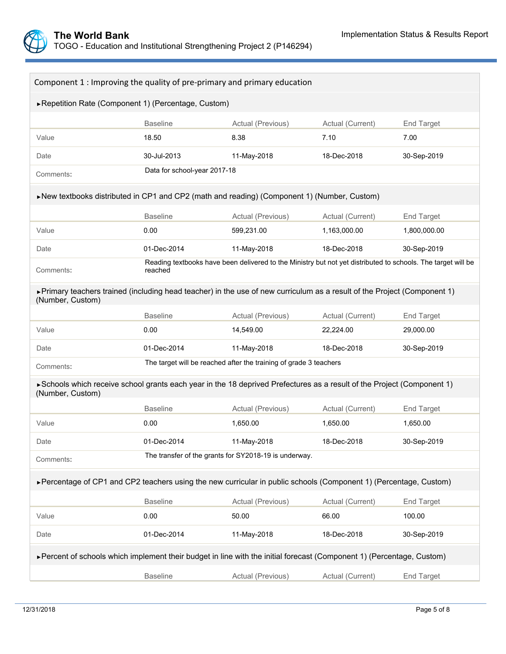

| Component 1 : Improving the quality of pre-primary and primary education                                                                    |                              |                                                                                                              |                  |                   |  |
|---------------------------------------------------------------------------------------------------------------------------------------------|------------------------------|--------------------------------------------------------------------------------------------------------------|------------------|-------------------|--|
| ▶ Repetition Rate (Component 1) (Percentage, Custom)                                                                                        |                              |                                                                                                              |                  |                   |  |
|                                                                                                                                             | <b>Baseline</b>              | Actual (Previous)                                                                                            | Actual (Current) | <b>End Target</b> |  |
| Value                                                                                                                                       | 18.50                        | 8.38                                                                                                         | 7.10             | 7.00              |  |
| Date                                                                                                                                        | 30-Jul-2013                  | 11-May-2018                                                                                                  | 18-Dec-2018      | 30-Sep-2019       |  |
| Comments:                                                                                                                                   | Data for school-year 2017-18 |                                                                                                              |                  |                   |  |
| ▶New textbooks distributed in CP1 and CP2 (math and reading) (Component 1) (Number, Custom)                                                 |                              |                                                                                                              |                  |                   |  |
|                                                                                                                                             | <b>Baseline</b>              | Actual (Previous)                                                                                            | Actual (Current) | <b>End Target</b> |  |
| Value                                                                                                                                       | 0.00                         | 599,231.00                                                                                                   | 1,163,000.00     | 1,800,000.00      |  |
| Date                                                                                                                                        | 01-Dec-2014                  | 11-May-2018                                                                                                  | 18-Dec-2018      | 30-Sep-2019       |  |
| Comments:                                                                                                                                   | reached                      | Reading textbooks have been delivered to the Ministry but not yet distributed to schools. The target will be |                  |                   |  |
| Frimary teachers trained (including head teacher) in the use of new curriculum as a result of the Project (Component 1)<br>(Number, Custom) |                              |                                                                                                              |                  |                   |  |
|                                                                                                                                             | <b>Baseline</b>              | Actual (Previous)<br>Actual (Current)                                                                        |                  | End Target        |  |
| Value                                                                                                                                       | 0.00                         | 14,549.00                                                                                                    | 22,224.00        | 29,000.00         |  |
| Date                                                                                                                                        | 01-Dec-2014                  | 11-May-2018                                                                                                  | 18-Dec-2018      | 30-Sep-2019       |  |
| Comments:                                                                                                                                   |                              | The target will be reached after the training of grade 3 teachers                                            |                  |                   |  |
| ► Schools which receive school grants each year in the 18 deprived Prefectures as a result of the Project (Component 1)<br>(Number, Custom) |                              |                                                                                                              |                  |                   |  |
|                                                                                                                                             | <b>Baseline</b>              | Actual (Previous)                                                                                            | Actual (Current) | <b>End Target</b> |  |
| Value                                                                                                                                       | 0.00                         | 1,650.00                                                                                                     | 1,650.00         | 1,650.00          |  |
| Date                                                                                                                                        | 01-Dec-2014                  | 11-May-2018                                                                                                  | 18-Dec-2018      | 30-Sep-2019       |  |
| Comments:                                                                                                                                   |                              | The transfer of the grants for SY2018-19 is underway.                                                        |                  |                   |  |
| ► Percentage of CP1 and CP2 teachers using the new curricular in public schools (Component 1) (Percentage, Custom)                          |                              |                                                                                                              |                  |                   |  |
|                                                                                                                                             | <b>Baseline</b>              | Actual (Current)<br>Actual (Previous)                                                                        |                  | End Target        |  |
| Value                                                                                                                                       | 0.00                         | 50.00                                                                                                        | 66.00            | 100.00            |  |
| Date                                                                                                                                        | 01-Dec-2014                  | 11-May-2018                                                                                                  | 18-Dec-2018      | 30-Sep-2019       |  |
| ► Percent of schools which implement their budget in line with the initial forecast (Component 1) (Percentage, Custom)                      |                              |                                                                                                              |                  |                   |  |
|                                                                                                                                             | <b>Baseline</b>              | Actual (Previous)                                                                                            | Actual (Current) | <b>End Target</b> |  |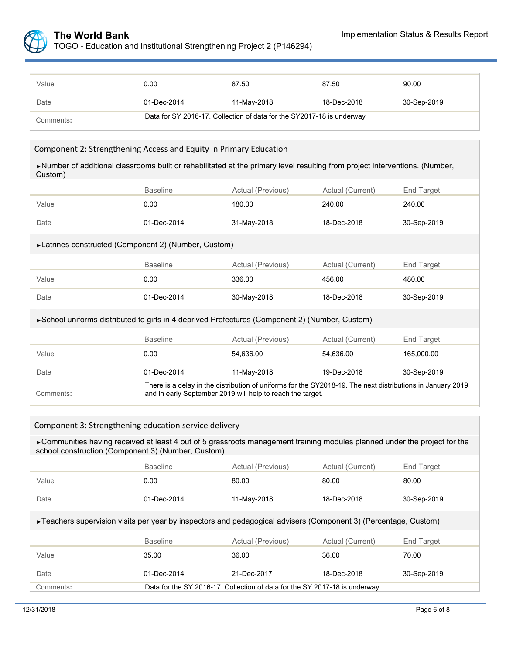

| Value     | 0.00                                                                  | 87.50       | 87.50       | 90.00       |  |
|-----------|-----------------------------------------------------------------------|-------------|-------------|-------------|--|
| Date      | 01-Dec-2014                                                           | 11-May-2018 | 18-Dec-2018 | 30-Sep-2019 |  |
| Comments: | Data for SY 2016-17. Collection of data for the SY2017-18 is underway |             |             |             |  |

#### Component 2: Strengthening Access and Equity in Primary Education

►Number of additional classrooms built or rehabilitated at the primary level resulting from project interventions. (Number, Custom)

|                                                                                                 | <b>Baseline</b>                                                                                                                                                          | Actual (Previous)          | Actual (Current) | End Target  |  |  |  |
|-------------------------------------------------------------------------------------------------|--------------------------------------------------------------------------------------------------------------------------------------------------------------------------|----------------------------|------------------|-------------|--|--|--|
| Value                                                                                           | 0.00                                                                                                                                                                     | 180.00<br>240.00           |                  | 240.00      |  |  |  |
| Date                                                                                            | 01-Dec-2014                                                                                                                                                              | 31-May-2018                | 18-Dec-2018      | 30-Sep-2019 |  |  |  |
| ► Latrines constructed (Component 2) (Number, Custom)                                           |                                                                                                                                                                          |                            |                  |             |  |  |  |
|                                                                                                 | <b>Baseline</b>                                                                                                                                                          | Actual (Previous)          | Actual (Current) | End Target  |  |  |  |
| Value                                                                                           | 0.00                                                                                                                                                                     | 336.00                     | 456.00           | 480.00      |  |  |  |
| Date                                                                                            | 01-Dec-2014                                                                                                                                                              | 30-May-2018<br>18-Dec-2018 |                  | 30-Sep-2019 |  |  |  |
| ► School uniforms distributed to girls in 4 deprived Prefectures (Component 2) (Number, Custom) |                                                                                                                                                                          |                            |                  |             |  |  |  |
|                                                                                                 | <b>Baseline</b>                                                                                                                                                          | Actual (Previous)          | Actual (Current) | End Target  |  |  |  |
| Value                                                                                           | 0.00                                                                                                                                                                     | 54,636.00                  | 54,636.00        | 165,000.00  |  |  |  |
| Date                                                                                            | 01-Dec-2014                                                                                                                                                              | 11-May-2018                | 19-Dec-2018      | 30-Sep-2019 |  |  |  |
| Comments:                                                                                       | There is a delay in the distribution of uniforms for the SY2018-19. The next distributions in January 2019<br>and in early September 2019 will help to reach the target. |                            |                  |             |  |  |  |

#### Component 3: Strengthening education service delivery

► Communities having received at least 4 out of 5 grassroots management training modules planned under the project for the school construction (Component 3) (Number, Custom)

|                                                                                                                  | <b>Baseline</b>                                                             | Actual (Previous)<br>Actual (Current) |                  | End Target  |  |  |
|------------------------------------------------------------------------------------------------------------------|-----------------------------------------------------------------------------|---------------------------------------|------------------|-------------|--|--|
| Value                                                                                                            | 0.00                                                                        | 80.00                                 | 80.00            | 80.00       |  |  |
| Date                                                                                                             | $01 - Dec - 2014$                                                           | 11-May-2018                           | 30-Sep-2019      |             |  |  |
| ► Teachers supervision visits per year by inspectors and pedagogical advisers (Component 3) (Percentage, Custom) |                                                                             |                                       |                  |             |  |  |
|                                                                                                                  | <b>Baseline</b>                                                             | Actual (Previous)                     | Actual (Current) | End Target  |  |  |
| Value                                                                                                            | 35.00                                                                       | 36.00                                 | 36.00            | 70.00       |  |  |
| Date                                                                                                             | $01 - Dec - 2014$                                                           | 21-Dec-2017                           | 18-Dec-2018      | 30-Sep-2019 |  |  |
| Comments:                                                                                                        | Data for the SY 2016-17. Collection of data for the SY 2017-18 is underway. |                                       |                  |             |  |  |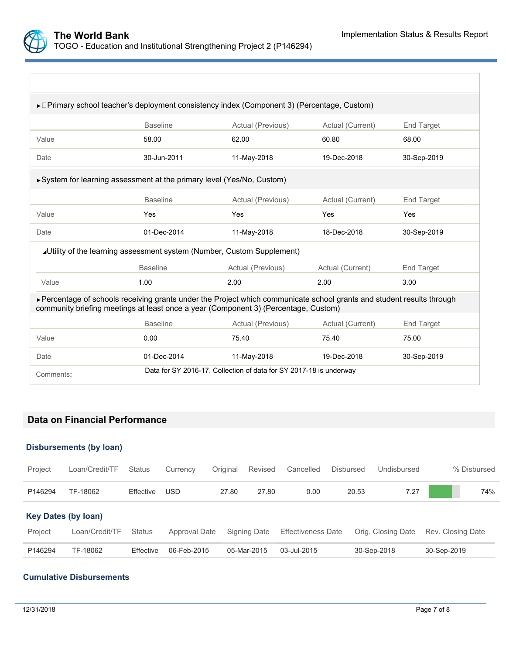

| ►□Primary school teacher's deployment consistency index (Component 3) (Percentage, Custom)                                                                                                                    |                                                          |                                                                    |                  |                   |  |  |  |
|---------------------------------------------------------------------------------------------------------------------------------------------------------------------------------------------------------------|----------------------------------------------------------|--------------------------------------------------------------------|------------------|-------------------|--|--|--|
|                                                                                                                                                                                                               | <b>Baseline</b>                                          | Actual (Previous)<br>Actual (Current)                              |                  |                   |  |  |  |
| Value                                                                                                                                                                                                         | 58.00                                                    | 62.00                                                              | 60.80            | 68.00             |  |  |  |
| Date                                                                                                                                                                                                          | 30-Jun-2011                                              | 11-May-2018                                                        | 19-Dec-2018      | 30-Sep-2019       |  |  |  |
| ► System for learning assessment at the primary level (Yes/No, Custom)                                                                                                                                        |                                                          |                                                                    |                  |                   |  |  |  |
|                                                                                                                                                                                                               | <b>Baseline</b>                                          | Actual (Previous)                                                  | Actual (Current) | End Target        |  |  |  |
| Value                                                                                                                                                                                                         | Yes                                                      | Yes                                                                | Yes              |                   |  |  |  |
| Date                                                                                                                                                                                                          | 01-Dec-2014                                              | 11-May-2018                                                        | 18-Dec-2018      | 30-Sep-2019       |  |  |  |
| <b>∡Utility of the learning assessment system (Number, Custom Supplement)</b>                                                                                                                                 |                                                          |                                                                    |                  |                   |  |  |  |
|                                                                                                                                                                                                               | <b>Baseline</b>                                          | Actual (Previous)                                                  | Actual (Current) | <b>End Target</b> |  |  |  |
| Value                                                                                                                                                                                                         | 1.00                                                     | 2.00                                                               | 2.00             | 3.00              |  |  |  |
| ► Percentage of schools receiving grants under the Project which communicate school grants and student results through<br>community briefing meetings at least once a year (Component 3) (Percentage, Custom) |                                                          |                                                                    |                  |                   |  |  |  |
|                                                                                                                                                                                                               | <b>Baseline</b>                                          | Actual (Previous)                                                  | Actual (Current) | End Target        |  |  |  |
| Value                                                                                                                                                                                                         | 0.00                                                     | 75.40                                                              | 75.40            | 75.00             |  |  |  |
| Date                                                                                                                                                                                                          | 11-May-2018<br>01-Dec-2014<br>19-Dec-2018<br>30-Sep-2019 |                                                                    |                  |                   |  |  |  |
| Comments:                                                                                                                                                                                                     |                                                          | Data for SY 2016-17. Collection of data for SY 2017-18 is underway |                  |                   |  |  |  |

# **Data on Financial Performance**

### **Disbursements (by loan)**

| Project                    | Loan/Credit/TF | <b>Status</b> | Currency      | Original | Revised      | Cancelled                 | Disbursed | Undisbursed        | % Disbursed       |
|----------------------------|----------------|---------------|---------------|----------|--------------|---------------------------|-----------|--------------------|-------------------|
| P146294                    | TF-18062       | Effective     | <b>USD</b>    | 27.80    | 27.80        | 0.00                      | 20.53     | 7.27               | 74%               |
| <b>Key Dates (by loan)</b> |                |               |               |          |              |                           |           |                    |                   |
| Project                    | Loan/Credit/TF | <b>Status</b> | Approval Date |          | Signing Date | <b>Effectiveness Date</b> |           | Orig. Closing Date | Rev. Closing Date |
| P146294                    | TF-18062       | Effective     | 06-Feb-2015   |          | 05-Mar-2015  | 03-Jul-2015               |           | 30-Sep-2018        | 30-Sep-2019       |

# **Cumulative Disbursements**